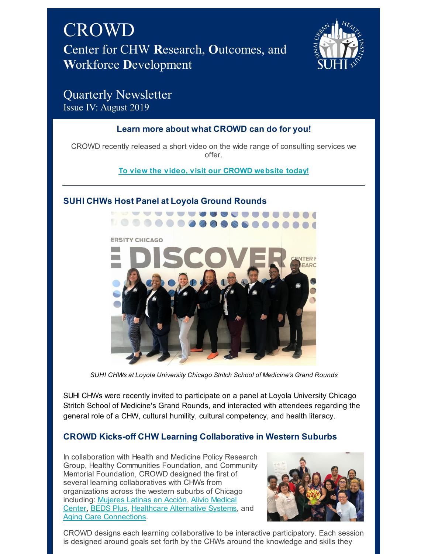



# Quarterly Newsletter Issue IV: August 2019

# **Learn more about what CROWD can do for you!**

CROWD recently released a short video on the wide range of consulting services we offer.

### **To view the video, visit our [CROWD](https://www.suhicrowd.org/services) website today!**

# **SUHI CHWs Host Panel at Loyola Ground Rounds**



*SUHI CHWs at Loyola University Chicago Stritch School of Medicine's Grand Rounds*

SUHI CHWs were recently invited to participate on a panel at Loyola University Chicago Stritch School of Medicine's Grand Rounds, and interacted with attendees regarding the general role of a CHW, cultural humility, cultural competency, and health literacy.

# **CROWD Kicks-off CHW Learning Collaborative in Western Suburbs**

In collaboration with Health and Medicine Policy Research Group, Healthy Communities Foundation, and Community Memorial Foundation, CROWD designed the first of several learning collaboratives with CHWs from organizations across the western suburbs of Chicago including: [Mujeres](https://mujereslatinasenaccion.org) Latinas en Acción, Alivio Medical Center, [BEDS](http://beds-plus.org) Plus, [Healthcare](https://www.aliviomedicalcenter.org) Alternative Systems, and Aging Care [Connections](http://agingcareconnections.org).



CROWD designs each learning collaborative to be interactive participatory. Each session is designed around goals set forth by the CHWs around the knowledge and skills they